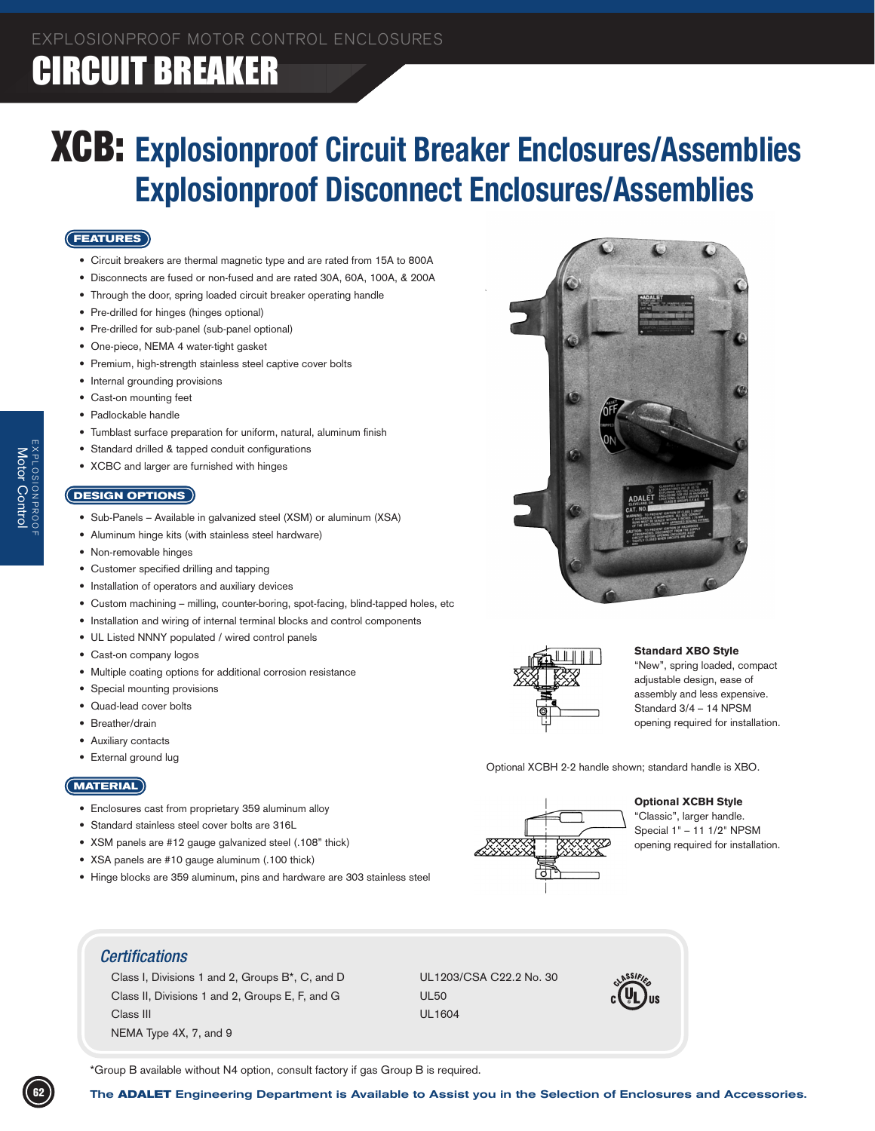### **CIRCUIT BREAKER**

### XCB: **Explosionproof Circuit Breaker Enclosures/Assemblies Explosionproof Disconnect Enclosures/Assemblies**

#### **FEATURES**

- • Circuit breakers are thermal magnetic type and are rated from 15A to 800A
- • Disconnects are fused or non-fused and are rated 30A, 60A, 100A, & 200A
- Through the door, spring loaded circuit breaker operating handle
- • Pre-drilled for hinges (hinges optional)
- • Pre-drilled for sub-panel (sub-panel optional)
- • One-piece, NEMA 4 water-tight gasket
- Premium, high-strength stainless steel captive cover bolts
- Internal grounding provisions
- Cast-on mounting feet
- • Padlockable handle
- Tumblast surface preparation for uniform, natural, aluminum finish
- Standard drilled & tapped conduit configurations
- XCBC and larger are furnished with hinges

#### **DESIGN OPTIONS**

- Sub-Panels Available in galvanized steel (XSM) or aluminum (XSA)
- • Aluminum hinge kits (with stainless steel hardware)
- • Non-removable hinges
- Customer specified drilling and tapping
- Installation of operators and auxiliary devices
- Custom machining milling, counter-boring, spot-facing, blind-tapped holes, etc
- • Installation and wiring of internal terminal blocks and control components
- UL Listed NNNY populated / wired control panels
- Cast-on company logos
- Multiple coating options for additional corrosion resistance
- Special mounting provisions
- Quad-lead cover bolts
- Breather/drain
- • Auxiliary contacts
- External ground lug

#### **MATERIAL**

- Enclosures cast from proprietary 359 aluminum alloy
- Standard stainless steel cover bolts are 316L
- • XSM panels are #12 gauge galvanized steel (.108" thick)
- XSA panels are #10 gauge aluminum (.100 thick)
- Hinge blocks are 359 aluminum, pins and hardware are 303 stainless steel





#### Standard XBO Style

"New", spring loaded, compact adjustable design, ease of assembly and less expensive. Standard 3/4 – 14 NPSM opening required for installation.

Optional XCBH 2-2 handle shown; standard handle is XBO.

#### Optional XCBH Style



### *Certifications*

Class I, Divisions 1 and 2, Groups B\*, C, and D UL1203/CSA C22.2 No. 30 Class II, Divisions 1 and 2, Groups E, F, and G UL50 Class III **DELETS** CLASS III **DELETS** CLASS III **DELETS** CLASS III **DELETS** CLASS III NEMA Type 4X, 7, and 9 



\*Group B available without N4 option, consult factory if gas Group B is required.

Motor Control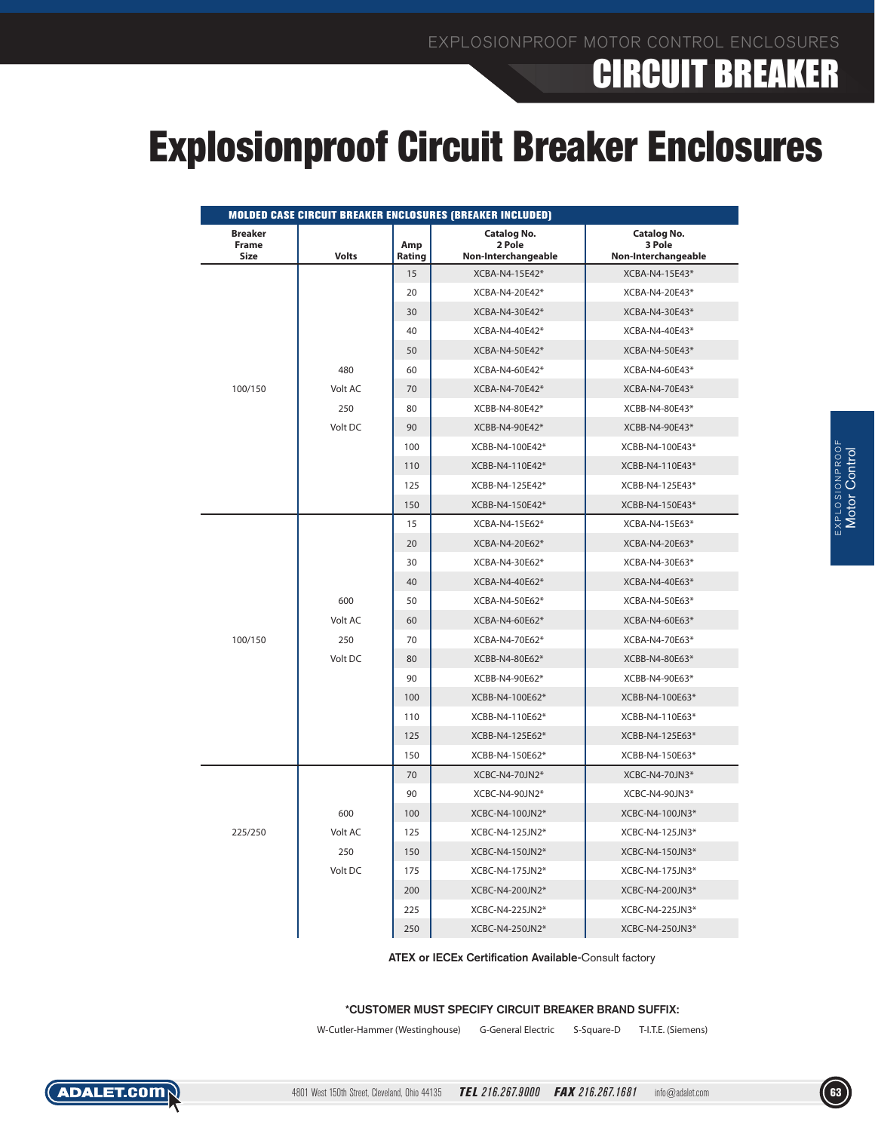### **CIRCUIT BREAKER**

## Explosionproof Circuit Breaker Enclosures

| <b>Size</b><br><b>Volts</b> | Rating<br>15                   | Non-Interchangeable                                                                                                                 | Non-Interchangeable              |
|-----------------------------|--------------------------------|-------------------------------------------------------------------------------------------------------------------------------------|----------------------------------|
|                             |                                | XCBA-N4-15E42*                                                                                                                      | XCBA-N4-15E43*                   |
|                             | 20                             | XCBA-N4-20E42*                                                                                                                      | XCBA-N4-20E43*                   |
|                             | 30                             | XCBA-N4-30E42*                                                                                                                      | XCBA-N4-30E43*                   |
|                             | 40                             | XCBA-N4-40E42*                                                                                                                      | XCBA-N4-40E43*                   |
|                             | 50                             | XCBA-N4-50E42*                                                                                                                      | XCBA-N4-50E43*                   |
| 480                         | 60                             | XCBA-N4-60E42*                                                                                                                      | XCBA-N4-60E43*                   |
| 100/150<br>Volt AC          | 70                             | XCBA-N4-70E42*                                                                                                                      | XCBA-N4-70E43*                   |
| 250                         | 80                             | XCBB-N4-80E42*                                                                                                                      | XCBB-N4-80E43*                   |
| Volt DC                     | 90                             | XCBB-N4-90E42*                                                                                                                      | XCBB-N4-90E43*                   |
|                             | 100                            | XCBB-N4-100E42*                                                                                                                     | XCBB-N4-100E43*                  |
|                             | 110                            | XCBB-N4-110E42*                                                                                                                     | XCBB-N4-110E43*                  |
|                             | 125                            | XCBB-N4-125E42*                                                                                                                     | XCBB-N4-125E43*                  |
|                             | 150                            | XCBB-N4-150E42*                                                                                                                     | XCBB-N4-150E43*                  |
|                             | 15                             | XCBA-N4-15E62*                                                                                                                      | XCBA-N4-15E63*                   |
|                             | 20                             | XCBA-N4-20E62*                                                                                                                      | XCBA-N4-20E63*                   |
|                             | 30                             | XCBA-N4-30E62*                                                                                                                      | XCBA-N4-30E63*                   |
|                             | 40                             | XCBA-N4-40E62*                                                                                                                      | XCBA-N4-40E63*                   |
| 600                         | 50                             | XCBA-N4-50E62*                                                                                                                      | XCBA-N4-50E63*                   |
| Volt AC                     | 60                             | XCBA-N4-60E62*                                                                                                                      | XCBA-N4-60E63*                   |
| 100/150<br>250              | 70                             | XCBA-N4-70E62*                                                                                                                      | XCBA-N4-70E63*                   |
| Volt DC                     | 80                             | XCBB-N4-80E62*                                                                                                                      | XCBB-N4-80E63*                   |
|                             | 90                             | XCBB-N4-90E62*                                                                                                                      | XCBB-N4-90E63*                   |
|                             | 100                            | XCBB-N4-100E62*                                                                                                                     | XCBB-N4-100E63*                  |
|                             | 110                            | XCBB-N4-110E62*                                                                                                                     | XCBB-N4-110E63*                  |
|                             | 125                            | XCBB-N4-125E62*                                                                                                                     | XCBB-N4-125E63*                  |
|                             | 150                            | XCBB-N4-150E62*                                                                                                                     | XCBB-N4-150E63*                  |
|                             | 70                             | XCBC-N4-70JN2*                                                                                                                      | XCBC-N4-70JN3*                   |
|                             | 90                             | XCBC-N4-90JN2*                                                                                                                      | XCBC-N4-90JN3*                   |
| 600                         | 100                            | XCBC-N4-100JN2*                                                                                                                     | XCBC-N4-100JN3*                  |
| 225/250<br>Volt AC          | 125                            | XCBC-N4-125JN2*                                                                                                                     | XCBC-N4-125JN3*                  |
| 250                         | 150                            | XCBC-N4-150JN2*                                                                                                                     | XCBC-N4-150JN3*                  |
| Volt DC                     | 175                            | XCBC-N4-175JN2*                                                                                                                     | XCBC-N4-175JN3*                  |
|                             | 200                            | XCBC-N4-200JN2*                                                                                                                     | XCBC-N4-200JN3*                  |
|                             | 225                            | XCBC-N4-225JN2*                                                                                                                     | XCBC-N4-225JN3*                  |
|                             | 250                            | XCBC-N4-250JN2*                                                                                                                     | XCBC-N4-250JN3*                  |
|                             | W-Cutler-Hammer (Westinghouse) | ATEX or IECEx Certification Available-Consult factory<br>*CUSTOMER MUST SPECIFY CIRCUIT BREAKER BRAND SUFFIX:<br>G-General Electric | S-Square-D<br>T-I.T.E. (Siemens) |

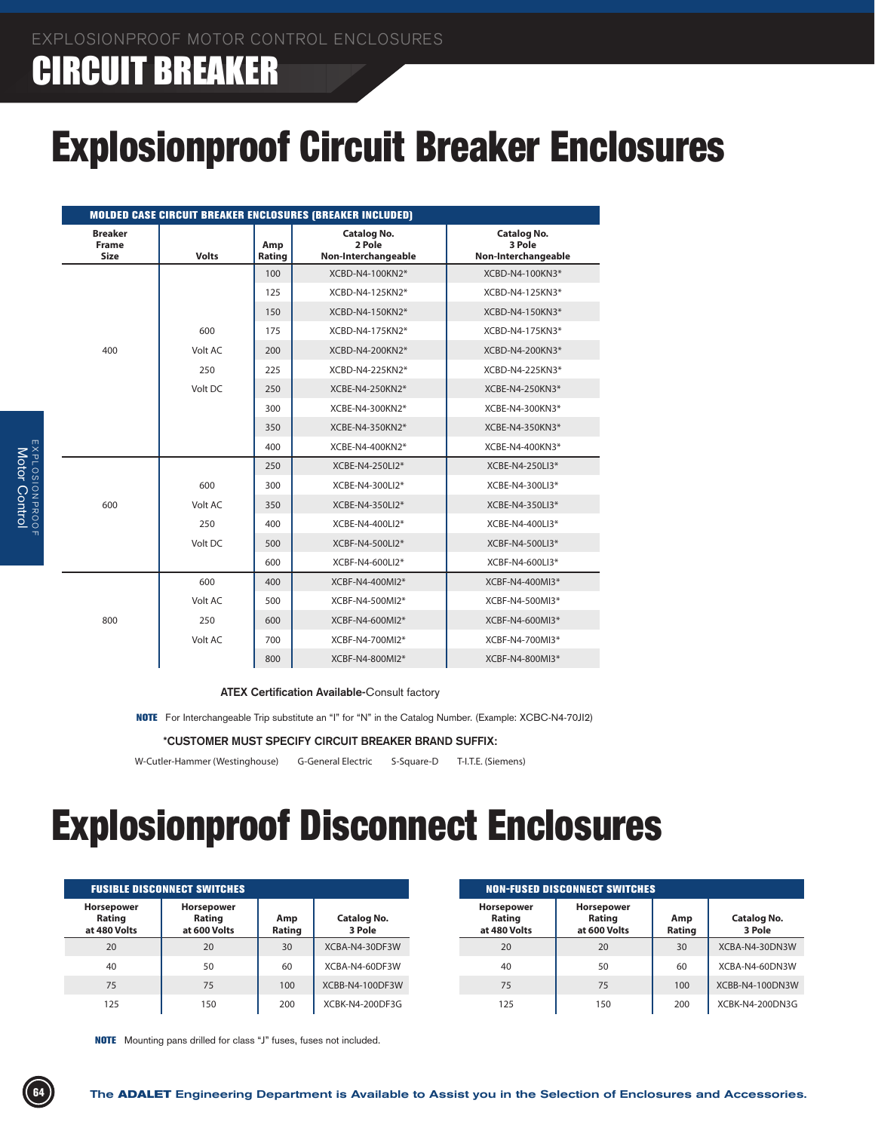### CIRCUIT BREAKER

## Explosionproof Circuit Breaker Enclosures

| <b>MOLDED CASE CIRCUIT BREAKER ENCLOSURES (BREAKER INCLUDED)</b> |              |               |                                                     |                                                     |  |  |  |  |  |  |
|------------------------------------------------------------------|--------------|---------------|-----------------------------------------------------|-----------------------------------------------------|--|--|--|--|--|--|
| <b>Breaker</b><br><b>Frame</b><br><b>Size</b>                    | <b>Volts</b> | Amp<br>Rating | <b>Catalog No.</b><br>2 Pole<br>Non-Interchangeable | <b>Catalog No.</b><br>3 Pole<br>Non-Interchangeable |  |  |  |  |  |  |
|                                                                  |              | 100           | XCBD-N4-100KN2*                                     | XCBD-N4-100KN3*                                     |  |  |  |  |  |  |
|                                                                  |              | 125           | XCBD-N4-125KN2*                                     | XCBD-N4-125KN3*                                     |  |  |  |  |  |  |
|                                                                  |              | 150           | XCBD-N4-150KN2*                                     | XCBD-N4-150KN3*                                     |  |  |  |  |  |  |
|                                                                  | 600          | 175           | XCBD-N4-175KN2*                                     | XCBD-N4-175KN3*                                     |  |  |  |  |  |  |
| 400                                                              | Volt AC      | 200           | XCBD-N4-200KN2*                                     | XCBD-N4-200KN3*                                     |  |  |  |  |  |  |
|                                                                  | 250          | 225           | XCBD-N4-225KN2*                                     | XCBD-N4-225KN3*                                     |  |  |  |  |  |  |
|                                                                  | Volt DC      | 250           | XCBE-N4-250KN2*                                     | XCBE-N4-250KN3*                                     |  |  |  |  |  |  |
|                                                                  |              | 300           | XCBE-N4-300KN2*                                     | XCBE-N4-300KN3*                                     |  |  |  |  |  |  |
|                                                                  |              | 350           | XCBE-N4-350KN2*                                     | XCBE-N4-350KN3*                                     |  |  |  |  |  |  |
|                                                                  |              | 400           | XCBE-N4-400KN2*                                     | XCBE-N4-400KN3*                                     |  |  |  |  |  |  |
|                                                                  |              | 250           | XCBE-N4-250LI2*                                     | XCBE-N4-250LI3*                                     |  |  |  |  |  |  |
|                                                                  | 600          | 300           | XCBE-N4-300LI2*                                     | XCBE-N4-300LI3*                                     |  |  |  |  |  |  |
| 600                                                              | Volt AC      | 350           | XCBE-N4-350LI2*                                     | XCBE-N4-350LI3*                                     |  |  |  |  |  |  |
|                                                                  | 250          | 400           | XCBE-N4-400LI2*                                     | XCBE-N4-400LI3*                                     |  |  |  |  |  |  |
|                                                                  | Volt DC      | 500           | XCBF-N4-500LI2*                                     | XCBF-N4-500LI3*                                     |  |  |  |  |  |  |
|                                                                  |              | 600           | XCBF-N4-600LI2*                                     | XCBF-N4-600LI3*                                     |  |  |  |  |  |  |
|                                                                  | 600          | 400           | XCBF-N4-400MI2*                                     | XCBF-N4-400MI3*                                     |  |  |  |  |  |  |
|                                                                  | Volt AC      | 500           | XCBF-N4-500MI2*                                     | XCBF-N4-500MI3*                                     |  |  |  |  |  |  |
| 800                                                              | 250          | 600           | XCBF-N4-600MI2*                                     | XCBF-N4-600MI3*                                     |  |  |  |  |  |  |
|                                                                  | Volt AC      | 700           | XCBF-N4-700MI2*                                     | XCBF-N4-700MI3*                                     |  |  |  |  |  |  |
|                                                                  |              | 800           | XCBF-N4-800MI2*                                     | XCBF-N4-800MI3*                                     |  |  |  |  |  |  |

**ATEX Certification Available-**Consult factory

NOTE For Interchangeable Trip substitute an "I" for "N" in the Catalog Number. (Example: XCBC-N4-70JI2)

**\*CUSTOMER MUST SPECIFY CIRCUIT BREAKER BRAND SUFFIX:**

W-Cutler-Hammer (Westinghouse) G-General Electric S-Square-D T-I.T.E. (Siemens)

## Explosionproof Disconnect Enclosures

|                                      | <b>FUSIBLE DISCONNECT SWITCHES</b>          |               |                       |  |  |  |  |  |  |  |  |
|--------------------------------------|---------------------------------------------|---------------|-----------------------|--|--|--|--|--|--|--|--|
| Horsepower<br>Rating<br>at 480 Volts | <b>Horsepower</b><br>Rating<br>at 600 Volts | Amp<br>Rating | Catalog No.<br>3 Pole |  |  |  |  |  |  |  |  |
| 20                                   | 20                                          | 30            | XCBA-N4-30DF3W        |  |  |  |  |  |  |  |  |
| 40                                   | 50                                          | 60            | XCBA-N4-60DF3W        |  |  |  |  |  |  |  |  |
| 75                                   | 75                                          | 100           | XCBB-N4-100DF3W       |  |  |  |  |  |  |  |  |
| 125                                  | 150                                         | 200           | XCBK-N4-200DF3G       |  |  |  |  |  |  |  |  |

| <b>NON-FUSED DISCONNECT SWITCHES</b> |                                      |               |                              |  |  |  |  |  |  |  |
|--------------------------------------|--------------------------------------|---------------|------------------------------|--|--|--|--|--|--|--|
| Horsepower<br>Rating<br>at 480 Volts | Horsepower<br>Rating<br>at 600 Volts | Amp<br>Rating | <b>Catalog No.</b><br>3 Pole |  |  |  |  |  |  |  |
| 20                                   | 20                                   | 30            | XCBA-N4-30DN3W               |  |  |  |  |  |  |  |
| 40                                   | 50                                   | 60            | XCBA-N4-60DN3W               |  |  |  |  |  |  |  |
| 75                                   | 75                                   | 100           | XCBB-N4-100DN3W              |  |  |  |  |  |  |  |
| 125                                  | 150                                  | 200           | XCBK-N4-200DN3G              |  |  |  |  |  |  |  |

NOTE Mounting pans drilled for class "J" fuses, fuses not included.